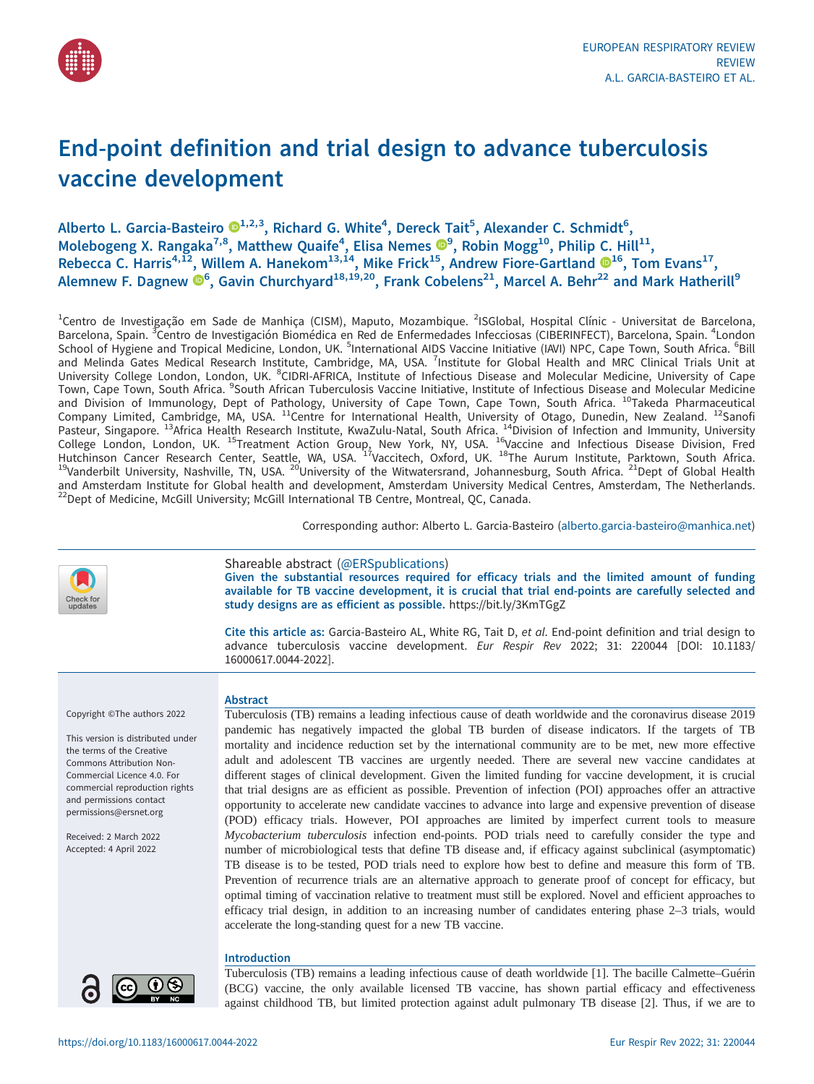

# End-point definition and trial design to advance tuberculosis vaccine development

## Alberto L. Garcia-Basteiro  $\mathbf{C}^{1,2,3}$  $\mathbf{C}^{1,2,3}$  $\mathbf{C}^{1,2,3}$ , Richard G. White<sup>4</sup>, Dereck Tait<sup>5</sup>, Alexander C. Schmidt<sup>6</sup>, Molebogeng X. Rangaka<sup>7,8</sup>, Matthew Quaife<sup>4</sup>, Elisa Nemes  $\mathbf{O}^9$ , Robin Mogg<sup>10</sup>, Philip C. Hill<sup>11</sup>, Rebecca C. Harris<sup>4,[1](https://orcid.org/0000-0001-7627-2166)2</sup>, Willem A. Hanekom<sup>13,14</sup>, Mike Frick<sup>15</sup>, Andrew Fiore-Gartland  $\mathbb{D}^{16}$ , Tom Evans<sup>17</sup>, Alemnew F. Dagnew  $\mathbf{\Theta}^6$ , Gavin Churchyard $^{18,19,20}$ , Frank Cobelens<sup>21</sup>, Marcel A. Behr<sup>22</sup> and Mark Hatherill<sup>9</sup>

<sup>1</sup>Centro de Investigação em Sade de Manhiça (CISM), Maputo, Mozambique. <sup>2</sup>ISGlobal, Hospital Clínic - Universitat de Barcelona, Barcelona, Spain. <sup>3</sup>Centro de Investigación Biomédica en Red de Enfermedades Infecciosas (CIBERINFECT), Barcelona, Spain. <sup>4</sup>London School of Hygiene and Tropical Medicine, London, UK. <sup>5</sup>International AIDS Vaccine Initiative (IAVI) NPC, Cape Town, South Africa. <sup>6</sup>Bill and Melinda Gates Medical Research Institute, Cambridge, MA, USA. <sup>7</sup>Institute for Global Health and MRC Clinical Trials Unit at University College London, London, UK. <sup>8</sup>CIDRI-AFRICA, Institute of Infectious Disease and Molecular Medicine, University of Cape Town, Cape Town, South Africa. <sup>9</sup>South African Tuberculosis Vaccine Initiative, Institute of Infectious Disease and Molecular Medicine and Division of Immunology, Dept of Pathology, University of Cape Town, Cape Town, South Africa. <sup>10</sup>Takeda Pharmaceutical Company Limited, Cambridge, MA, USA. <sup>11</sup>Centre for International Health, University of Otago, Dunedin, New Zealand. <sup>12</sup>Sanofi Pasteur, Singapore. <sup>13</sup>Africa Health Research Institute, KwaZulu-Natal, South Africa. <sup>14</sup>Division of Infection and Immunity, University College London, London, UK. <sup>15</sup>Treatment Action Group, New York, NY, USA. <sup>16</sup>Vaccine and Infectious Disease Division, Fred Hutchinson Cancer Research Center, Seattle, WA, USA. <sup>17</sup>Vaccitech, Oxford, UK. <sup>18</sup>The Aurum Institute, Parktown, South Africa.<br><sup>19</sup>Vanderbilt University, Nashville, TN, USA. <sup>20</sup>University of the Witwatersrand, Johannesb and Amsterdam Institute for Global health and development, Amsterdam University Medical Centres, Amsterdam, The Netherlands.<br><sup>22</sup>Dept of Medicine, McGill University; McGill International TB Centre, Montreal, QC, Canada.

Corresponding author: Alberto L. Garcia-Basteiro ([alberto.garcia-basteiro@manhica.net](mailto:alberto.garcia-basteiro@manhica.net))

## Shareable abstract (@ERSpublications)

Given the substantial resources required for efficacy trials and the limited amount of funding available for TB vaccine development, it is crucial that trial end-points are carefully selected and study designs are as efficient as possible. <https://bit.ly/3KmTGgZ>

Cite this article as: Garcia-Basteiro AL, White RG, Tait D, et al. End-point definition and trial design to advance tuberculosis vaccine development. Eur Respir Rev 2022; 31: 220044 [\[DOI: 10.1183/](https://doi.org/10.1183/16000617.0044-2022) [16000617.0044-2022\].](https://doi.org/10.1183/16000617.0044-2022)

Copyright ©The authors 2022

This version is distributed under the terms of the Creative Commons Attribution Non-Commercial Licence 4.0. For commercial reproduction rights and permissions contact [permissions@ersnet.org](mailto:permissions@ersnet.org)

Received: 2 March 2022 Accepted: 4 April 2022

#### Abstract

Tuberculosis (TB) remains a leading infectious cause of death worldwide and the coronavirus disease 2019 pandemic has negatively impacted the global TB burden of disease indicators. If the targets of TB mortality and incidence reduction set by the international community are to be met, new more effective adult and adolescent TB vaccines are urgently needed. There are several new vaccine candidates at different stages of clinical development. Given the limited funding for vaccine development, it is crucial that trial designs are as efficient as possible. Prevention of infection (POI) approaches offer an attractive opportunity to accelerate new candidate vaccines to advance into large and expensive prevention of disease (POD) efficacy trials. However, POI approaches are limited by imperfect current tools to measure Mycobacterium tuberculosis infection end-points. POD trials need to carefully consider the type and number of microbiological tests that define TB disease and, if efficacy against subclinical (asymptomatic) TB disease is to be tested, POD trials need to explore how best to define and measure this form of TB. Prevention of recurrence trials are an alternative approach to generate proof of concept for efficacy, but optimal timing of vaccination relative to treatment must still be explored. Novel and efficient approaches to efficacy trial design, in addition to an increasing number of candidates entering phase 2–3 trials, would accelerate the long-standing quest for a new TB vaccine.

## Introduction

Tuberculosis (TB) remains a leading infectious cause of death worldwide [\[1\]](#page-9-0). The bacille Calmette–Guérin (BCG) vaccine, the only available licensed TB vaccine, has shown partial efficacy and effectiveness against childhood TB, but limited protection against adult pulmonary TB disease [\[2\]](#page-9-0). Thus, if we are to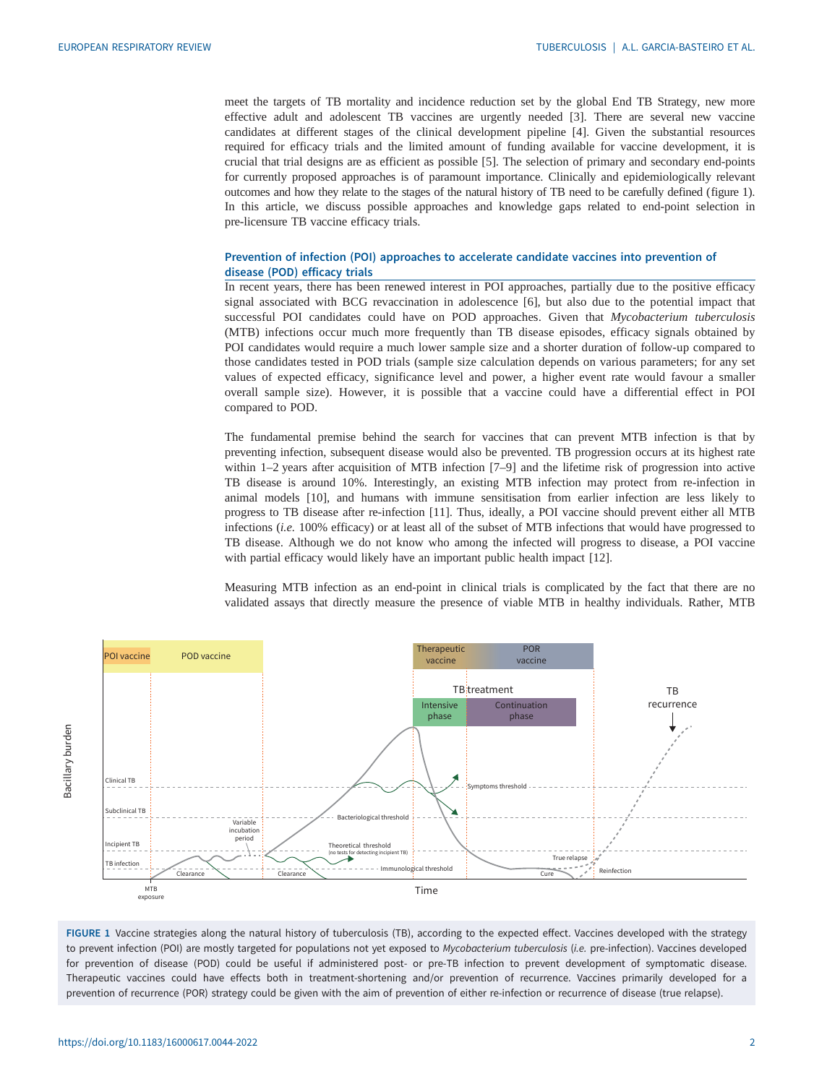<span id="page-1-0"></span>meet the targets of TB mortality and incidence reduction set by the global End TB Strategy, new more effective adult and adolescent TB vaccines are urgently needed [[3](#page-9-0)]. There are several new vaccine candidates at different stages of the clinical development pipeline [[4](#page-9-0)]. Given the substantial resources required for efficacy trials and the limited amount of funding available for vaccine development, it is crucial that trial designs are as efficient as possible [[5](#page-9-0)]. The selection of primary and secondary end-points for currently proposed approaches is of paramount importance. Clinically and epidemiologically relevant outcomes and how they relate to the stages of the natural history of TB need to be carefully defined (figure 1). In this article, we discuss possible approaches and knowledge gaps related to end-point selection in pre-licensure TB vaccine efficacy trials.

## Prevention of infection (POI) approaches to accelerate candidate vaccines into prevention of disease (POD) efficacy trials

In recent years, there has been renewed interest in POI approaches, partially due to the positive efficacy signal associated with BCG revaccination in adolescence [[6\]](#page-9-0), but also due to the potential impact that successful POI candidates could have on POD approaches. Given that Mycobacterium tuberculosis (MTB) infections occur much more frequently than TB disease episodes, efficacy signals obtained by POI candidates would require a much lower sample size and a shorter duration of follow-up compared to those candidates tested in POD trials (sample size calculation depends on various parameters; for any set values of expected efficacy, significance level and power, a higher event rate would favour a smaller overall sample size). However, it is possible that a vaccine could have a differential effect in POI compared to POD.

The fundamental premise behind the search for vaccines that can prevent MTB infection is that by preventing infection, subsequent disease would also be prevented. TB progression occurs at its highest rate within 1–2 years after acquisition of MTB infection [\[7](#page-9-0)–[9\]](#page-10-0) and the lifetime risk of progression into active TB disease is around 10%. Interestingly, an existing MTB infection may protect from re-infection in animal models [\[10](#page-10-0)], and humans with immune sensitisation from earlier infection are less likely to progress to TB disease after re-infection [\[11](#page-10-0)]. Thus, ideally, a POI vaccine should prevent either all MTB infections (i.e. 100% efficacy) or at least all of the subset of MTB infections that would have progressed to TB disease. Although we do not know who among the infected will progress to disease, a POI vaccine with partial efficacy would likely have an important public health impact [\[12](#page-10-0)].

Measuring MTB infection as an end-point in clinical trials is complicated by the fact that there are no validated assays that directly measure the presence of viable MTB in healthy individuals. Rather, MTB



FIGURE 1 Vaccine strategies along the natural history of tuberculosis (TB), according to the expected effect. Vaccines developed with the strategy to prevent infection (POI) are mostly targeted for populations not yet exposed to Mycobacterium tuberculosis (i.e. pre-infection). Vaccines developed for prevention of disease (POD) could be useful if administered post- or pre-TB infection to prevent development of symptomatic disease. Therapeutic vaccines could have effects both in treatment-shortening and/or prevention of recurrence. Vaccines primarily developed for a prevention of recurrence (POR) strategy could be given with the aim of prevention of either re-infection or recurrence of disease (true relapse).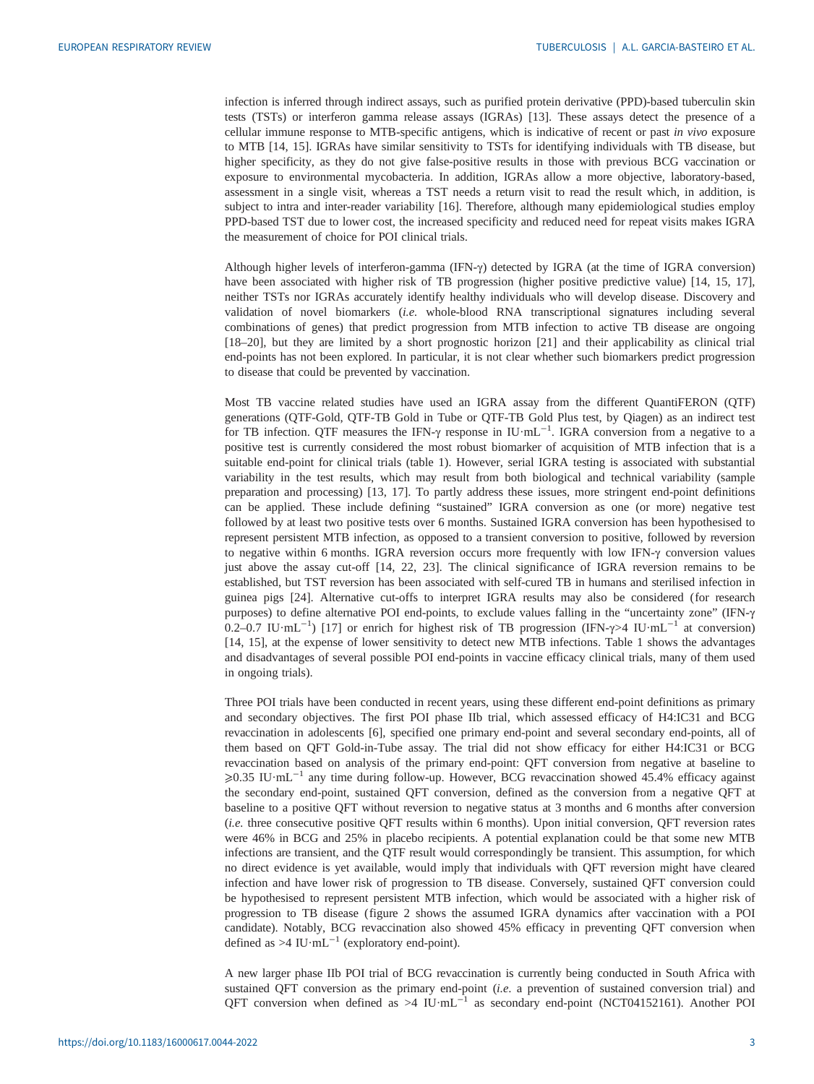infection is inferred through indirect assays, such as purified protein derivative (PPD)-based tuberculin skin tests (TSTs) or interferon gamma release assays (IGRAs) [[13\]](#page-10-0). These assays detect the presence of a cellular immune response to MTB-specific antigens, which is indicative of recent or past in vivo exposure to MTB [[14, 15](#page-10-0)]. IGRAs have similar sensitivity to TSTs for identifying individuals with TB disease, but higher specificity, as they do not give false-positive results in those with previous BCG vaccination or exposure to environmental mycobacteria. In addition, IGRAs allow a more objective, laboratory-based, assessment in a single visit, whereas a TST needs a return visit to read the result which, in addition, is subject to intra and inter-reader variability [\[16](#page-10-0)]. Therefore, although many epidemiological studies employ PPD-based TST due to lower cost, the increased specificity and reduced need for repeat visits makes IGRA the measurement of choice for POI clinical trials.

Although higher levels of interferon-gamma (IFN-γ) detected by IGRA (at the time of IGRA conversion) have been associated with higher risk of TB progression (higher positive predictive value) [[14, 15, 17\]](#page-10-0), neither TSTs nor IGRAs accurately identify healthy individuals who will develop disease. Discovery and validation of novel biomarkers (i.e. whole-blood RNA transcriptional signatures including several combinations of genes) that predict progression from MTB infection to active TB disease are ongoing [\[18](#page-10-0)–[20\]](#page-10-0), but they are limited by a short prognostic horizon [[21\]](#page-10-0) and their applicability as clinical trial end-points has not been explored. In particular, it is not clear whether such biomarkers predict progression to disease that could be prevented by vaccination.

Most TB vaccine related studies have used an IGRA assay from the different QuantiFERON (QTF) generations (QTF-Gold, QTF-TB Gold in Tube or QTF-TB Gold Plus test, by Qiagen) as an indirect test for TB infection. QTF measures the IFN-γ response in IU·mL<sup>-1</sup>. IGRA conversion from a negative to a positive test is currently considered the most robust biomarker of acquisition of MTB infection that is a suitable end-point for clinical trials [\(table 1](#page-3-0)). However, serial IGRA testing is associated with substantial variability in the test results, which may result from both biological and technical variability (sample preparation and processing) [[13, 17\]](#page-10-0). To partly address these issues, more stringent end-point definitions can be applied. These include defining "sustained" IGRA conversion as one (or more) negative test followed by at least two positive tests over 6 months. Sustained IGRA conversion has been hypothesised to represent persistent MTB infection, as opposed to a transient conversion to positive, followed by reversion to negative within 6 months. IGRA reversion occurs more frequently with low IFN-γ conversion values just above the assay cut-off [[14, 22, 23\]](#page-10-0). The clinical significance of IGRA reversion remains to be established, but TST reversion has been associated with self-cured TB in humans and sterilised infection in guinea pigs [\[24](#page-10-0)]. Alternative cut-offs to interpret IGRA results may also be considered (for research purposes) to define alternative POI end-points, to exclude values falling in the "uncertainty zone" (IFN-γ 0.2–0.7 IU·mL−<sup>1</sup> ) [\[17](#page-10-0)] or enrich for highest risk of TB progression (IFN-γ>4 IU·mL−<sup>1</sup> at conversion) [\[14](#page-10-0), [15\]](#page-10-0), at the expense of lower sensitivity to detect new MTB infections. [Table 1](#page-3-0) shows the advantages and disadvantages of several possible POI end-points in vaccine efficacy clinical trials, many of them used in ongoing trials).

Three POI trials have been conducted in recent years, using these different end-point definitions as primary and secondary objectives. The first POI phase IIb trial, which assessed efficacy of H4:IC31 and BCG revaccination in adolescents [[6](#page-9-0)], specified one primary end-point and several secondary end-points, all of them based on QFT Gold-in-Tube assay. The trial did not show efficacy for either H4:IC31 or BCG revaccination based on analysis of the primary end-point: QFT conversion from negative at baseline to ⩾0.35 IU·mL−<sup>1</sup> any time during follow-up. However, BCG revaccination showed 45.4% efficacy against the secondary end-point, sustained QFT conversion, defined as the conversion from a negative QFT at baseline to a positive QFT without reversion to negative status at 3 months and 6 months after conversion (i.e. three consecutive positive QFT results within 6 months). Upon initial conversion, QFT reversion rates were 46% in BCG and 25% in placebo recipients. A potential explanation could be that some new MTB infections are transient, and the QTF result would correspondingly be transient. This assumption, for which no direct evidence is yet available, would imply that individuals with QFT reversion might have cleared infection and have lower risk of progression to TB disease. Conversely, sustained QFT conversion could be hypothesised to represent persistent MTB infection, which would be associated with a higher risk of progression to TB disease ([figure 2](#page-4-0) shows the assumed IGRA dynamics after vaccination with a POI candidate). Notably, BCG revaccination also showed 45% efficacy in preventing QFT conversion when defined as >4 IU·mL<sup>-1</sup> (exploratory end-point).

A new larger phase IIb POI trial of BCG revaccination is currently being conducted in South Africa with sustained QFT conversion as the primary end-point (i.e. a prevention of sustained conversion trial) and QFT conversion when defined as >4  $IU·mL^{-1}$  as secondary end-point (NCT04152161). Another POI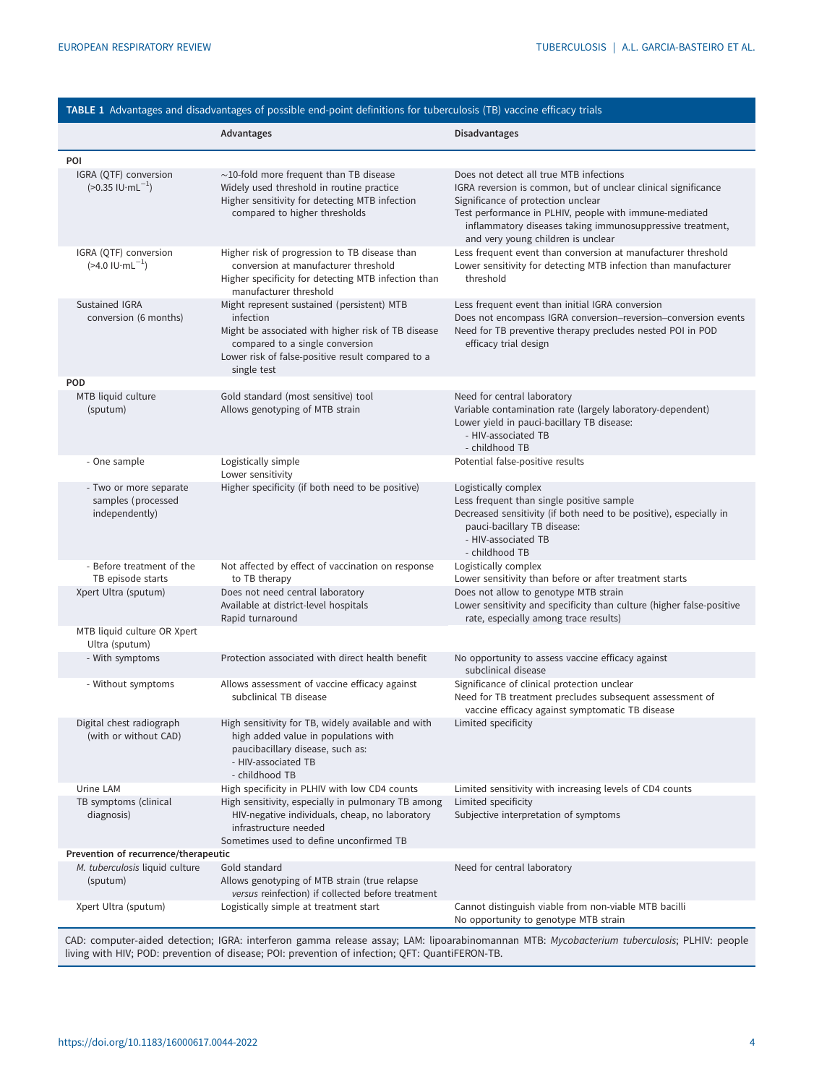<span id="page-3-0"></span>

| TABLE 1 Advantages and disadvantages of possible end-point definitions for tuberculosis (TB) vaccine efficacy trials |                                                                                                                                                                                                                      |                                                                                                                                                                                                                                                                                                              |
|----------------------------------------------------------------------------------------------------------------------|----------------------------------------------------------------------------------------------------------------------------------------------------------------------------------------------------------------------|--------------------------------------------------------------------------------------------------------------------------------------------------------------------------------------------------------------------------------------------------------------------------------------------------------------|
|                                                                                                                      | Advantages                                                                                                                                                                                                           | <b>Disadvantages</b>                                                                                                                                                                                                                                                                                         |
| POI                                                                                                                  |                                                                                                                                                                                                                      |                                                                                                                                                                                                                                                                                                              |
| IGRA (QTF) conversion<br>$(>0.35$ IU $\cdot$ mL <sup>-1</sup> )                                                      | $\sim$ 10-fold more frequent than TB disease<br>Widely used threshold in routine practice<br>Higher sensitivity for detecting MTB infection<br>compared to higher thresholds                                         | Does not detect all true MTB infections<br>IGRA reversion is common, but of unclear clinical significance<br>Significance of protection unclear<br>Test performance in PLHIV, people with immune-mediated<br>inflammatory diseases taking immunosuppressive treatment,<br>and very young children is unclear |
| IGRA (QTF) conversion<br>$($ >4.0 IU·mL <sup>-1</sup> )                                                              | Higher risk of progression to TB disease than<br>conversion at manufacturer threshold<br>Higher specificity for detecting MTB infection than<br>manufacturer threshold                                               | Less frequent event than conversion at manufacturer threshold<br>Lower sensitivity for detecting MTB infection than manufacturer<br>threshold                                                                                                                                                                |
| Sustained IGRA<br>conversion (6 months)                                                                              | Might represent sustained (persistent) MTB<br>infection<br>Might be associated with higher risk of TB disease<br>compared to a single conversion<br>Lower risk of false-positive result compared to a<br>single test | Less frequent event than initial IGRA conversion<br>Does not encompass IGRA conversion-reversion-conversion events<br>Need for TB preventive therapy precludes nested POI in POD<br>efficacy trial design                                                                                                    |
| POD                                                                                                                  |                                                                                                                                                                                                                      |                                                                                                                                                                                                                                                                                                              |
| MTB liquid culture<br>(sputum)                                                                                       | Gold standard (most sensitive) tool<br>Allows genotyping of MTB strain                                                                                                                                               | Need for central laboratory<br>Variable contamination rate (largely laboratory-dependent)<br>Lower yield in pauci-bacillary TB disease:<br>- HIV-associated TB<br>- childhood TB                                                                                                                             |
| - One sample                                                                                                         | Logistically simple<br>Lower sensitivity                                                                                                                                                                             | Potential false-positive results                                                                                                                                                                                                                                                                             |
| - Two or more separate<br>samples (processed<br>independently)                                                       | Higher specificity (if both need to be positive)                                                                                                                                                                     | Logistically complex<br>Less frequent than single positive sample<br>Decreased sensitivity (if both need to be positive), especially in<br>pauci-bacillary TB disease:<br>- HIV-associated TB<br>- childhood TB                                                                                              |
| - Before treatment of the<br>TB episode starts                                                                       | Not affected by effect of vaccination on response<br>to TB therapy                                                                                                                                                   | Logistically complex<br>Lower sensitivity than before or after treatment starts                                                                                                                                                                                                                              |
| Xpert Ultra (sputum)                                                                                                 | Does not need central laboratory<br>Available at district-level hospitals<br>Rapid turnaround                                                                                                                        | Does not allow to genotype MTB strain<br>Lower sensitivity and specificity than culture (higher false-positive<br>rate, especially among trace results)                                                                                                                                                      |
| MTB liquid culture OR Xpert<br>Ultra (sputum)                                                                        |                                                                                                                                                                                                                      |                                                                                                                                                                                                                                                                                                              |
| - With symptoms                                                                                                      | Protection associated with direct health benefit                                                                                                                                                                     | No opportunity to assess vaccine efficacy against<br>subclinical disease                                                                                                                                                                                                                                     |
| - Without symptoms                                                                                                   | Allows assessment of vaccine efficacy against<br>subclinical TB disease                                                                                                                                              | Significance of clinical protection unclear<br>Need for TB treatment precludes subsequent assessment of<br>vaccine efficacy against symptomatic TB disease                                                                                                                                                   |
| Digital chest radiograph<br>(with or without CAD)                                                                    | High sensitivity for TB, widely available and with<br>high added value in populations with<br>paucibacillary disease, such as:<br>- HIV-associated TB<br>- childhood TB                                              | Limited specificity                                                                                                                                                                                                                                                                                          |
| Urine LAM                                                                                                            | High specificity in PLHIV with low CD4 counts                                                                                                                                                                        | Limited sensitivity with increasing levels of CD4 counts                                                                                                                                                                                                                                                     |
| TB symptoms (clinical<br>diagnosis)                                                                                  | High sensitivity, especially in pulmonary TB among<br>HIV-negative individuals, cheap, no laboratory<br>infrastructure needed<br>Sometimes used to define unconfirmed TB                                             | Limited specificity<br>Subjective interpretation of symptoms                                                                                                                                                                                                                                                 |
| Prevention of recurrence/therapeutic                                                                                 |                                                                                                                                                                                                                      |                                                                                                                                                                                                                                                                                                              |
| M. tuberculosis liquid culture<br>(sputum)                                                                           | Gold standard<br>Allows genotyping of MTB strain (true relapse<br>versus reinfection) if collected before treatment                                                                                                  | Need for central laboratory                                                                                                                                                                                                                                                                                  |
| Xpert Ultra (sputum)                                                                                                 | Logistically simple at treatment start                                                                                                                                                                               | Cannot distinguish viable from non-viable MTB bacilli<br>No opportunity to genotype MTB strain<br>e accour LAM, linearphinemannan MTD, Mucebacterium tuberculesis; DLHIV, neapl                                                                                                                              |

CAD: computer-aided detection; IGRA: interferon gamma release assay; LAM: lipoarabinomannan MTB: Mycobacterium tuberculosis; PLHIV: people living with HIV; POD: prevention of disease; POI: prevention of infection; QFT: QuantiFERON-TB.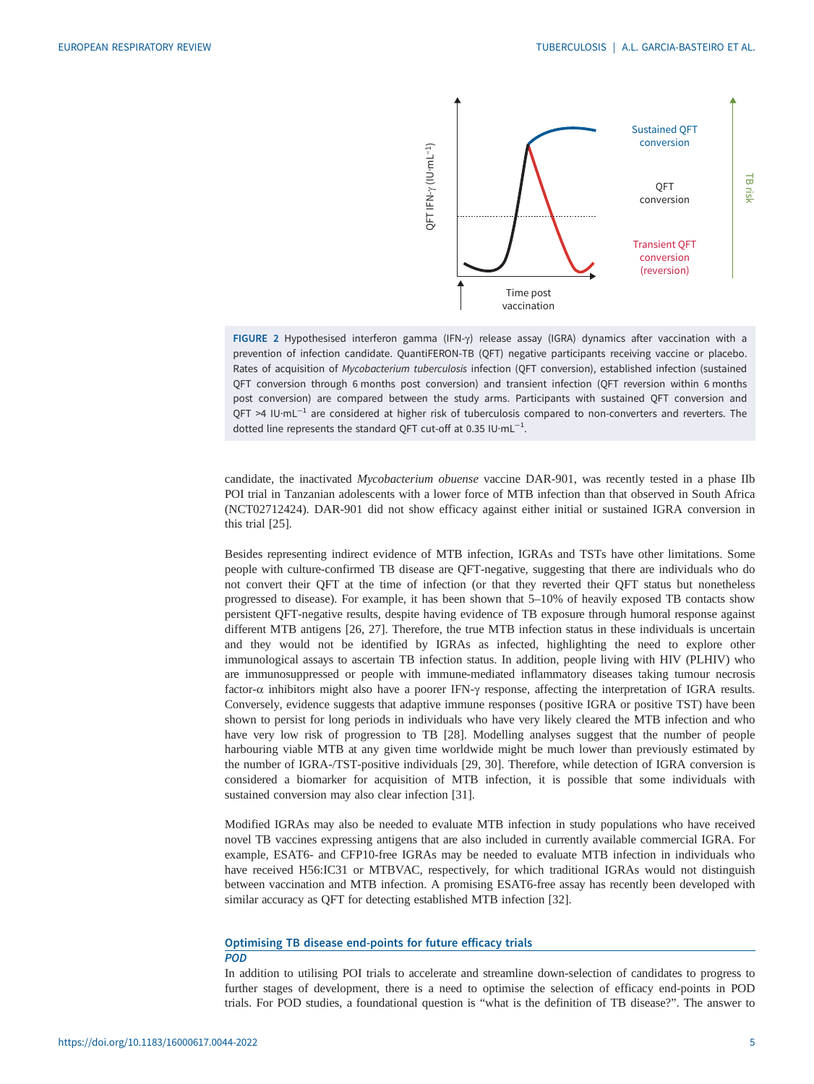

FIGURE 2 Hypothesised interferon gamma (IFN-γ) release assay (IGRA) dynamics after vaccination with a prevention of infection candidate. QuantiFERON-TB (QFT) negative participants receiving vaccine or placebo. Rates of acquisition of Mycobacterium tuberculosis infection (QFT conversion), established infection (sustained QFT conversion through 6 months post conversion) and transient infection (QFT reversion within 6 months post conversion) are compared between the study arms. Participants with sustained QFT conversion and QFT >4 IU·mL<sup>-1</sup> are considered at higher risk of tuberculosis compared to non-converters and reverters. The dotted line represents the standard QFT cut-off at 0.35 IU·mL<sup>-1</sup>.

candidate, the inactivated Mycobacterium obuense vaccine DAR-901, was recently tested in a phase IIb POI trial in Tanzanian adolescents with a lower force of MTB infection than that observed in South Africa (NCT02712424). DAR-901 did not show efficacy against either initial or sustained IGRA conversion in this trial [[25\]](#page-10-0).

<span id="page-4-0"></span>Besides representing indirect evidence of MTB infection, IGRAs and TSTs have other limitations. Some people with culture-confirmed TB disease are QFT-negative, suggesting that there are individuals who do not convert their QFT at the time of infection (or that they reverted their QFT status but nonetheless progressed to disease). For example, it has been shown that 5–10% of heavily exposed TB contacts show persistent QFT-negative results, despite having evidence of TB exposure through humoral response against different MTB antigens [[26, 27\]](#page-10-0). Therefore, the true MTB infection status in these individuals is uncertain and they would not be identified by IGRAs as infected, highlighting the need to explore other immunological assays to ascertain TB infection status. In addition, people living with HIV (PLHIV) who are immunosuppressed or people with immune-mediated inflammatory diseases taking tumour necrosis factor-α inhibitors might also have a poorer IFN-γ response, affecting the interpretation of IGRA results. Conversely, evidence suggests that adaptive immune responses ( positive IGRA or positive TST) have been shown to persist for long periods in individuals who have very likely cleared the MTB infection and who have very low risk of progression to TB [[28\]](#page-10-0). Modelling analyses suggest that the number of people harbouring viable MTB at any given time worldwide might be much lower than previously estimated by the number of IGRA-/TST-positive individuals [[29, 30\]](#page-10-0). Therefore, while detection of IGRA conversion is considered a biomarker for acquisition of MTB infection, it is possible that some individuals with sustained conversion may also clear infection [[31\]](#page-10-0). The measurement of the measurement of the measurement of the measurement of the measurement of the measurement of the measurement of the definition of the measurement of the definition is the definition of the definition

Modified IGRAs may also be needed to evaluate MTB infection in study populations who have received novel TB vaccines expressing antigens that are also included in currently available commercial IGRA. For example, ESAT6- and CFP10-free IGRAs may be needed to evaluate MTB infection in individuals who have received H56:IC31 or MTBVAC, respectively, for which traditional IGRAs would not distinguish between vaccination and MTB infection. A promising ESAT6-free assay has recently been developed with similar accuracy as QFT for detecting established MTB infection [\[32](#page-10-0)].

## Optimising TB disease end-points for future efficacy trials

#### POD

In addition to utilising POI trials to accelerate and streamline down-selection of candidates to progress to further stages of development, there is a need to optimise the selection of efficacy end-points in POD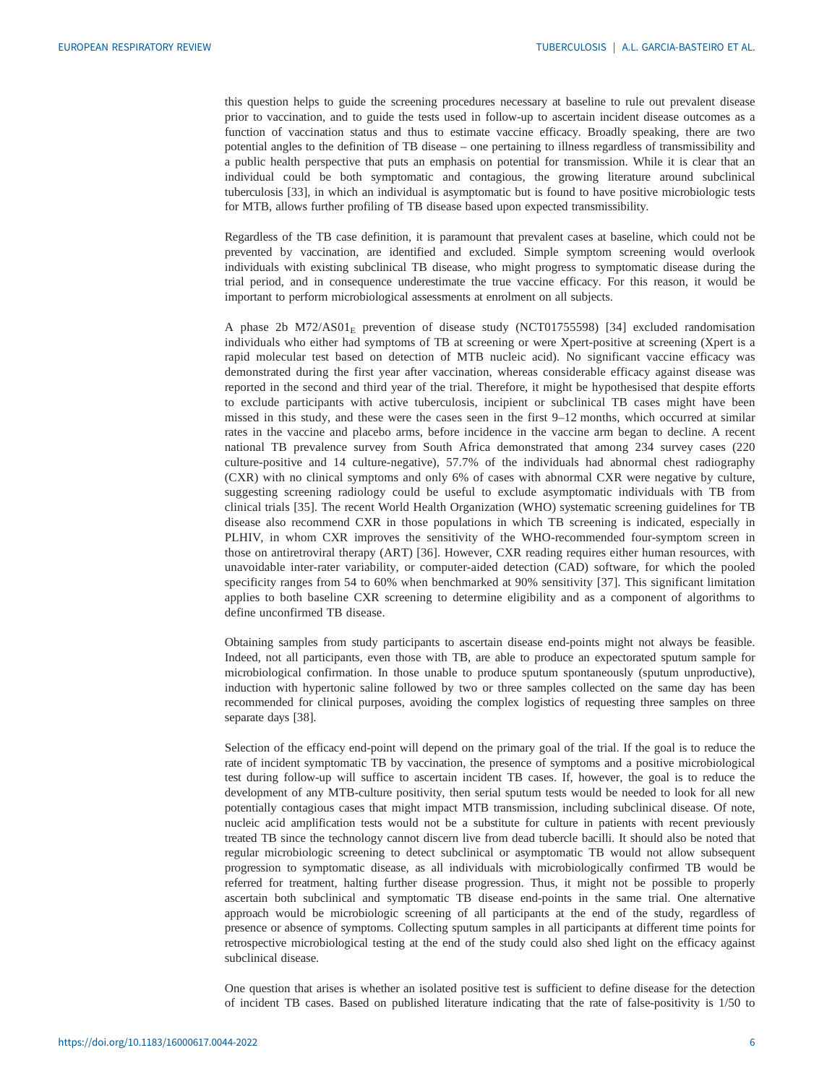this question helps to guide the screening procedures necessary at baseline to rule out prevalent disease prior to vaccination, and to guide the tests used in follow-up to ascertain incident disease outcomes as a function of vaccination status and thus to estimate vaccine efficacy. Broadly speaking, there are two potential angles to the definition of TB disease – one pertaining to illness regardless of transmissibility and a public health perspective that puts an emphasis on potential for transmission. While it is clear that an individual could be both symptomatic and contagious, the growing literature around subclinical tuberculosis [\[33](#page-10-0)], in which an individual is asymptomatic but is found to have positive microbiologic tests for MTB, allows further profiling of TB disease based upon expected transmissibility.

Regardless of the TB case definition, it is paramount that prevalent cases at baseline, which could not be prevented by vaccination, are identified and excluded. Simple symptom screening would overlook individuals with existing subclinical TB disease, who might progress to symptomatic disease during the trial period, and in consequence underestimate the true vaccine efficacy. For this reason, it would be important to perform microbiological assessments at enrolment on all subjects.

A phase 2b  $M72/ASO1<sub>E</sub>$  prevention of disease study (NCT01755598) [\[34](#page-10-0)] excluded randomisation individuals who either had symptoms of TB at screening or were Xpert-positive at screening (Xpert is a rapid molecular test based on detection of MTB nucleic acid). No significant vaccine efficacy was demonstrated during the first year after vaccination, whereas considerable efficacy against disease was reported in the second and third year of the trial. Therefore, it might be hypothesised that despite efforts to exclude participants with active tuberculosis, incipient or subclinical TB cases might have been missed in this study, and these were the cases seen in the first 9–12 months, which occurred at similar rates in the vaccine and placebo arms, before incidence in the vaccine arm began to decline. A recent national TB prevalence survey from South Africa demonstrated that among 234 survey cases (220 culture-positive and 14 culture-negative), 57.7% of the individuals had abnormal chest radiography (CXR) with no clinical symptoms and only 6% of cases with abnormal CXR were negative by culture, suggesting screening radiology could be useful to exclude asymptomatic individuals with TB from clinical trials [[35](#page-10-0)]. The recent World Health Organization (WHO) systematic screening guidelines for TB disease also recommend CXR in those populations in which TB screening is indicated, especially in PLHIV, in whom CXR improves the sensitivity of the WHO-recommended four-symptom screen in those on antiretroviral therapy (ART) [[36](#page-10-0)]. However, CXR reading requires either human resources, with unavoidable inter-rater variability, or computer-aided detection (CAD) software, for which the pooled specificity ranges from 54 to 60% when benchmarked at 90% sensitivity [[37](#page-11-0)]. This significant limitation applies to both baseline CXR screening to determine eligibility and as a component of algorithms to define unconfirmed TB disease.

Obtaining samples from study participants to ascertain disease end-points might not always be feasible. Indeed, not all participants, even those with TB, are able to produce an expectorated sputum sample for microbiological confirmation. In those unable to produce sputum spontaneously (sputum unproductive), induction with hypertonic saline followed by two or three samples collected on the same day has been recommended for clinical purposes, avoiding the complex logistics of requesting three samples on three separate days [\[38](#page-11-0)].

Selection of the efficacy end-point will depend on the primary goal of the trial. If the goal is to reduce the rate of incident symptomatic TB by vaccination, the presence of symptoms and a positive microbiological test during follow-up will suffice to ascertain incident TB cases. If, however, the goal is to reduce the development of any MTB-culture positivity, then serial sputum tests would be needed to look for all new potentially contagious cases that might impact MTB transmission, including subclinical disease. Of note, nucleic acid amplification tests would not be a substitute for culture in patients with recent previously treated TB since the technology cannot discern live from dead tubercle bacilli. It should also be noted that regular microbiologic screening to detect subclinical or asymptomatic TB would not allow subsequent progression to symptomatic disease, as all individuals with microbiologically confirmed TB would be referred for treatment, halting further disease progression. Thus, it might not be possible to properly ascertain both subclinical and symptomatic TB disease end-points in the same trial. One alternative approach would be microbiologic screening of all participants at the end of the study, regardless of presence or absence of symptoms. Collecting sputum samples in all participants at different time points for retrospective microbiological testing at the end of the study could also shed light on the efficacy against subclinical disease.

One question that arises is whether an isolated positive test is sufficient to define disease for the detection of incident TB cases. Based on published literature indicating that the rate of false-positivity is 1/50 to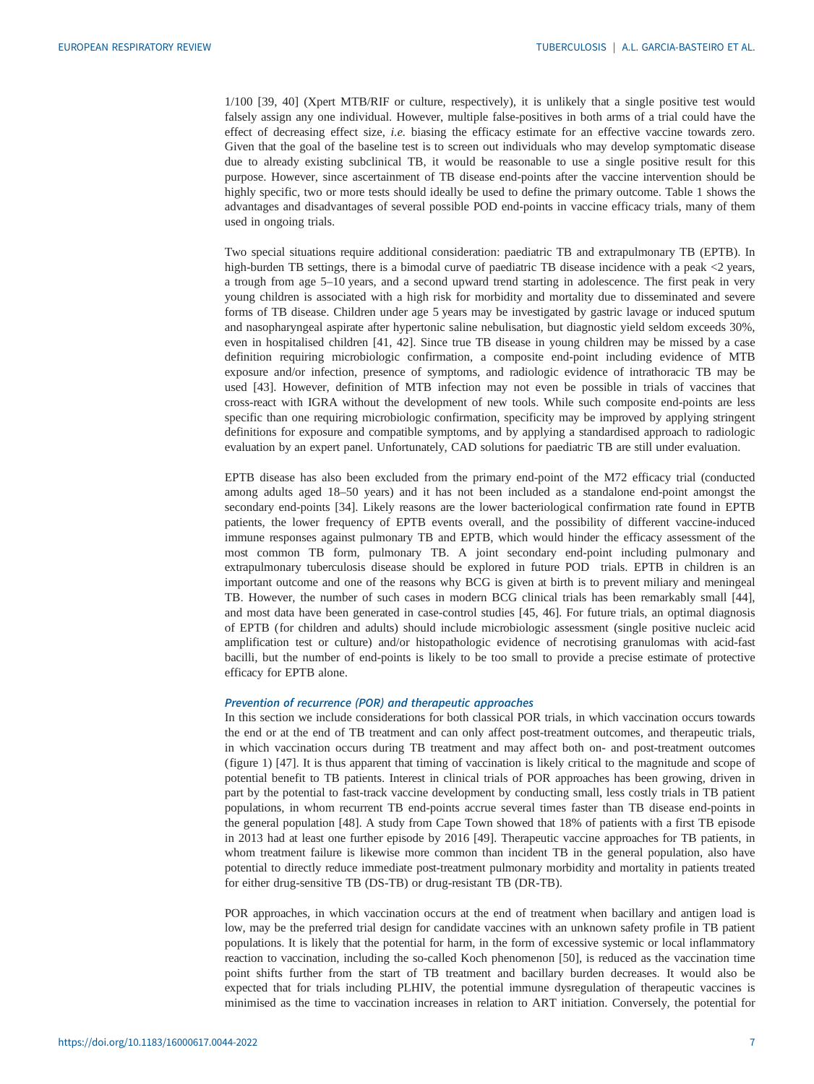1/100 [[39, 40\]](#page-11-0) (Xpert MTB/RIF or culture, respectively), it is unlikely that a single positive test would falsely assign any one individual. However, multiple false-positives in both arms of a trial could have the effect of decreasing effect size, i.e. biasing the efficacy estimate for an effective vaccine towards zero. Given that the goal of the baseline test is to screen out individuals who may develop symptomatic disease due to already existing subclinical TB, it would be reasonable to use a single positive result for this purpose. However, since ascertainment of TB disease end-points after the vaccine intervention should be highly specific, two or more tests should ideally be used to define the primary outcome. [Table 1](#page-3-0) shows the advantages and disadvantages of several possible POD end-points in vaccine efficacy trials, many of them used in ongoing trials.

Two special situations require additional consideration: paediatric TB and extrapulmonary TB (EPTB). In high-burden TB settings, there is a bimodal curve of paediatric TB disease incidence with a peak <2 years, a trough from age 5–10 years, and a second upward trend starting in adolescence. The first peak in very young children is associated with a high risk for morbidity and mortality due to disseminated and severe forms of TB disease. Children under age 5 years may be investigated by gastric lavage or induced sputum and nasopharyngeal aspirate after hypertonic saline nebulisation, but diagnostic yield seldom exceeds 30%, even in hospitalised children [[41, 42](#page-11-0)]. Since true TB disease in young children may be missed by a case definition requiring microbiologic confirmation, a composite end-point including evidence of MTB exposure and/or infection, presence of symptoms, and radiologic evidence of intrathoracic TB may be used [\[43](#page-11-0)]. However, definition of MTB infection may not even be possible in trials of vaccines that cross-react with IGRA without the development of new tools. While such composite end-points are less specific than one requiring microbiologic confirmation, specificity may be improved by applying stringent definitions for exposure and compatible symptoms, and by applying a standardised approach to radiologic evaluation by an expert panel. Unfortunately, CAD solutions for paediatric TB are still under evaluation.

EPTB disease has also been excluded from the primary end-point of the M72 efficacy trial (conducted among adults aged 18–50 years) and it has not been included as a standalone end-point amongst the secondary end-points [\[34](#page-10-0)]. Likely reasons are the lower bacteriological confirmation rate found in EPTB patients, the lower frequency of EPTB events overall, and the possibility of different vaccine-induced immune responses against pulmonary TB and EPTB, which would hinder the efficacy assessment of the most common TB form, pulmonary TB. A joint secondary end-point including pulmonary and extrapulmonary tuberculosis disease should be explored in future POD trials. EPTB in children is an important outcome and one of the reasons why BCG is given at birth is to prevent miliary and meningeal TB. However, the number of such cases in modern BCG clinical trials has been remarkably small [[44\]](#page-11-0), and most data have been generated in case-control studies [[45, 46](#page-11-0)]. For future trials, an optimal diagnosis of EPTB (for children and adults) should include microbiologic assessment (single positive nucleic acid amplification test or culture) and/or histopathologic evidence of necrotising granulomas with acid-fast bacilli, but the number of end-points is likely to be too small to provide a precise estimate of protective efficacy for EPTB alone.

#### Prevention of recurrence (POR) and therapeutic approaches

In this section we include considerations for both classical POR trials, in which vaccination occurs towards the end or at the end of TB treatment and can only affect post-treatment outcomes, and therapeutic trials, in which vaccination occurs during TB treatment and may affect both on- and post-treatment outcomes [\(figure 1](#page-1-0)) [[47\]](#page-11-0). It is thus apparent that timing of vaccination is likely critical to the magnitude and scope of potential benefit to TB patients. Interest in clinical trials of POR approaches has been growing, driven in part by the potential to fast-track vaccine development by conducting small, less costly trials in TB patient populations, in whom recurrent TB end-points accrue several times faster than TB disease end-points in the general population [[48\]](#page-11-0). A study from Cape Town showed that 18% of patients with a first TB episode in 2013 had at least one further episode by 2016 [[49\]](#page-11-0). Therapeutic vaccine approaches for TB patients, in whom treatment failure is likewise more common than incident TB in the general population, also have potential to directly reduce immediate post-treatment pulmonary morbidity and mortality in patients treated for either drug-sensitive TB (DS-TB) or drug-resistant TB (DR-TB).

POR approaches, in which vaccination occurs at the end of treatment when bacillary and antigen load is low, may be the preferred trial design for candidate vaccines with an unknown safety profile in TB patient populations. It is likely that the potential for harm, in the form of excessive systemic or local inflammatory reaction to vaccination, including the so-called Koch phenomenon [[50\]](#page-11-0), is reduced as the vaccination time point shifts further from the start of TB treatment and bacillary burden decreases. It would also be expected that for trials including PLHIV, the potential immune dysregulation of therapeutic vaccines is minimised as the time to vaccination increases in relation to ART initiation. Conversely, the potential for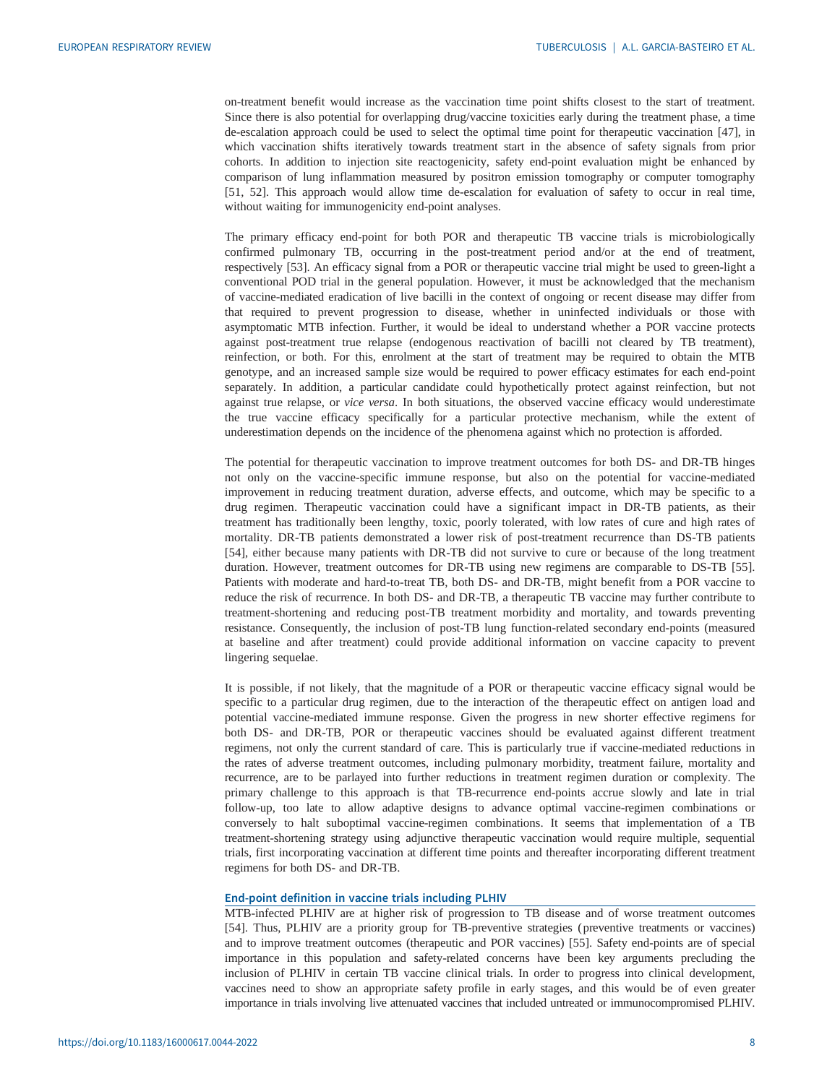on-treatment benefit would increase as the vaccination time point shifts closest to the start of treatment. Since there is also potential for overlapping drug/vaccine toxicities early during the treatment phase, a time de-escalation approach could be used to select the optimal time point for therapeutic vaccination [\[47](#page-11-0)], in which vaccination shifts iteratively towards treatment start in the absence of safety signals from prior cohorts. In addition to injection site reactogenicity, safety end-point evaluation might be enhanced by comparison of lung inflammation measured by positron emission tomography or computer tomography [\[51](#page-11-0), [52\]](#page-11-0). This approach would allow time de-escalation for evaluation of safety to occur in real time, without waiting for immunogenicity end-point analyses.

The primary efficacy end-point for both POR and therapeutic TB vaccine trials is microbiologically confirmed pulmonary TB, occurring in the post-treatment period and/or at the end of treatment, respectively [[53\]](#page-11-0). An efficacy signal from a POR or therapeutic vaccine trial might be used to green-light a conventional POD trial in the general population. However, it must be acknowledged that the mechanism of vaccine-mediated eradication of live bacilli in the context of ongoing or recent disease may differ from that required to prevent progression to disease, whether in uninfected individuals or those with asymptomatic MTB infection. Further, it would be ideal to understand whether a POR vaccine protects against post-treatment true relapse (endogenous reactivation of bacilli not cleared by TB treatment), reinfection, or both. For this, enrolment at the start of treatment may be required to obtain the MTB genotype, and an increased sample size would be required to power efficacy estimates for each end-point separately. In addition, a particular candidate could hypothetically protect against reinfection, but not against true relapse, or vice versa. In both situations, the observed vaccine efficacy would underestimate the true vaccine efficacy specifically for a particular protective mechanism, while the extent of underestimation depends on the incidence of the phenomena against which no protection is afforded.

The potential for therapeutic vaccination to improve treatment outcomes for both DS- and DR-TB hinges not only on the vaccine-specific immune response, but also on the potential for vaccine-mediated improvement in reducing treatment duration, adverse effects, and outcome, which may be specific to a drug regimen. Therapeutic vaccination could have a significant impact in DR-TB patients, as their treatment has traditionally been lengthy, toxic, poorly tolerated, with low rates of cure and high rates of mortality. DR-TB patients demonstrated a lower risk of post-treatment recurrence than DS-TB patients [\[54\]](#page-11-0), either because many patients with DR-TB did not survive to cure or because of the long treatment duration. However, treatment outcomes for DR-TB using new regimens are comparable to DS-TB [\[55\]](#page-11-0). Patients with moderate and hard-to-treat TB, both DS- and DR-TB, might benefit from a POR vaccine to reduce the risk of recurrence. In both DS- and DR-TB, a therapeutic TB vaccine may further contribute to treatment-shortening and reducing post-TB treatment morbidity and mortality, and towards preventing resistance. Consequently, the inclusion of post-TB lung function-related secondary end-points (measured at baseline and after treatment) could provide additional information on vaccine capacity to prevent lingering sequelae.

It is possible, if not likely, that the magnitude of a POR or therapeutic vaccine efficacy signal would be specific to a particular drug regimen, due to the interaction of the therapeutic effect on antigen load and potential vaccine-mediated immune response. Given the progress in new shorter effective regimens for both DS- and DR-TB, POR or therapeutic vaccines should be evaluated against different treatment regimens, not only the current standard of care. This is particularly true if vaccine-mediated reductions in the rates of adverse treatment outcomes, including pulmonary morbidity, treatment failure, mortality and recurrence, are to be parlayed into further reductions in treatment regimen duration or complexity. The primary challenge to this approach is that TB-recurrence end-points accrue slowly and late in trial follow-up, too late to allow adaptive designs to advance optimal vaccine-regimen combinations or conversely to halt suboptimal vaccine-regimen combinations. It seems that implementation of a TB treatment-shortening strategy using adjunctive therapeutic vaccination would require multiple, sequential trials, first incorporating vaccination at different time points and thereafter incorporating different treatment regimens for both DS- and DR-TB.

### End-point definition in vaccine trials including PLHIV

MTB-infected PLHIV are at higher risk of progression to TB disease and of worse treatment outcomes [\[54](#page-11-0)]. Thus, PLHIV are a priority group for TB-preventive strategies ( preventive treatments or vaccines) and to improve treatment outcomes (therapeutic and POR vaccines) [\[55](#page-11-0)]. Safety end-points are of special importance in this population and safety-related concerns have been key arguments precluding the inclusion of PLHIV in certain TB vaccine clinical trials. In order to progress into clinical development, vaccines need to show an appropriate safety profile in early stages, and this would be of even greater importance in trials involving live attenuated vaccines that included untreated or immunocompromised PLHIV.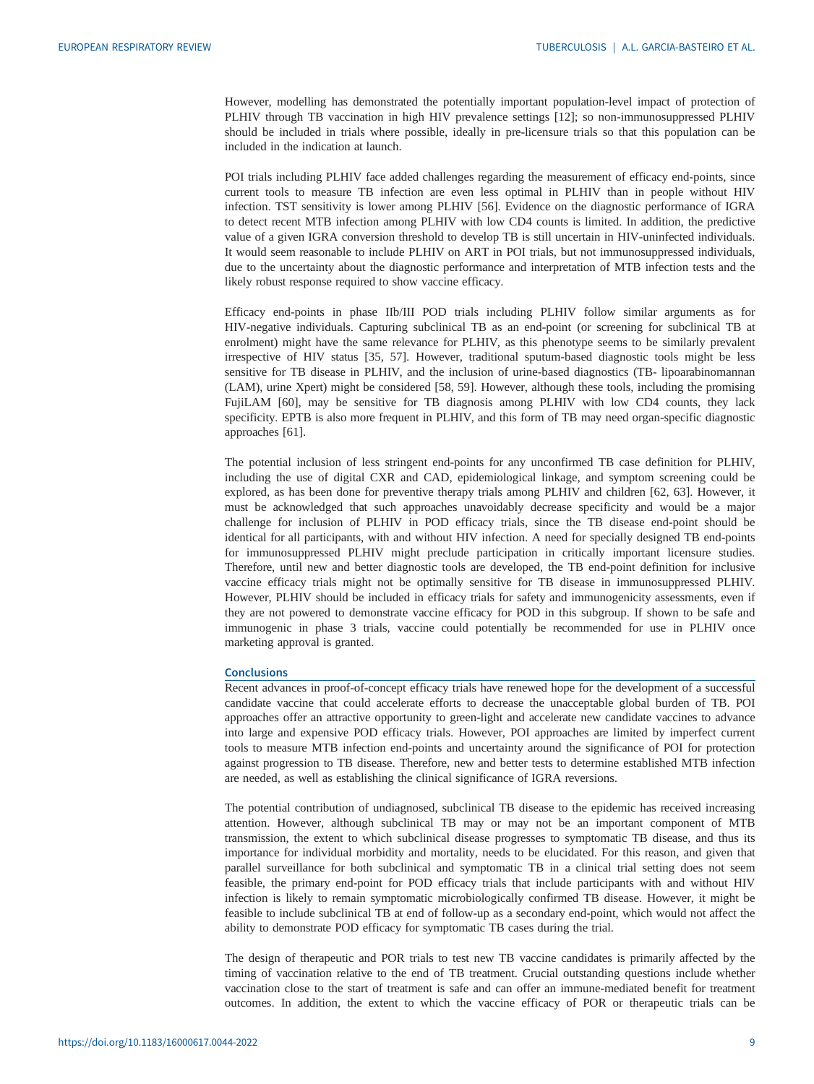However, modelling has demonstrated the potentially important population-level impact of protection of PLHIV through TB vaccination in high HIV prevalence settings [[12\]](#page-10-0); so non-immunosuppressed PLHIV should be included in trials where possible, ideally in pre-licensure trials so that this population can be included in the indication at launch.

POI trials including PLHIV face added challenges regarding the measurement of efficacy end-points, since current tools to measure TB infection are even less optimal in PLHIV than in people without HIV infection. TST sensitivity is lower among PLHIV [\[56](#page-11-0)]. Evidence on the diagnostic performance of IGRA to detect recent MTB infection among PLHIV with low CD4 counts is limited. In addition, the predictive value of a given IGRA conversion threshold to develop TB is still uncertain in HIV-uninfected individuals. It would seem reasonable to include PLHIV on ART in POI trials, but not immunosuppressed individuals, due to the uncertainty about the diagnostic performance and interpretation of MTB infection tests and the likely robust response required to show vaccine efficacy.

Efficacy end-points in phase IIb/III POD trials including PLHIV follow similar arguments as for HIV-negative individuals. Capturing subclinical TB as an end-point (or screening for subclinical TB at enrolment) might have the same relevance for PLHIV, as this phenotype seems to be similarly prevalent irrespective of HIV status [[35,](#page-10-0) [57\]](#page-11-0). However, traditional sputum-based diagnostic tools might be less sensitive for TB disease in PLHIV, and the inclusion of urine-based diagnostics (TB- lipoarabinomannan (LAM), urine Xpert) might be considered [\[58](#page-11-0), [59](#page-11-0)]. However, although these tools, including the promising FujiLAM [\[60](#page-11-0)], may be sensitive for TB diagnosis among PLHIV with low CD4 counts, they lack specificity. EPTB is also more frequent in PLHIV, and this form of TB may need organ-specific diagnostic approaches [[61\]](#page-11-0).

The potential inclusion of less stringent end-points for any unconfirmed TB case definition for PLHIV, including the use of digital CXR and CAD, epidemiological linkage, and symptom screening could be explored, as has been done for preventive therapy trials among PLHIV and children [[62, 63](#page-11-0)]. However, it must be acknowledged that such approaches unavoidably decrease specificity and would be a major challenge for inclusion of PLHIV in POD efficacy trials, since the TB disease end-point should be identical for all participants, with and without HIV infection. A need for specially designed TB end-points for immunosuppressed PLHIV might preclude participation in critically important licensure studies. Therefore, until new and better diagnostic tools are developed, the TB end-point definition for inclusive vaccine efficacy trials might not be optimally sensitive for TB disease in immunosuppressed PLHIV. However, PLHIV should be included in efficacy trials for safety and immunogenicity assessments, even if they are not powered to demonstrate vaccine efficacy for POD in this subgroup. If shown to be safe and immunogenic in phase 3 trials, vaccine could potentially be recommended for use in PLHIV once marketing approval is granted.

#### **Conclusions**

Recent advances in proof-of-concept efficacy trials have renewed hope for the development of a successful candidate vaccine that could accelerate efforts to decrease the unacceptable global burden of TB. POI approaches offer an attractive opportunity to green-light and accelerate new candidate vaccines to advance into large and expensive POD efficacy trials. However, POI approaches are limited by imperfect current tools to measure MTB infection end-points and uncertainty around the significance of POI for protection against progression to TB disease. Therefore, new and better tests to determine established MTB infection are needed, as well as establishing the clinical significance of IGRA reversions.

The potential contribution of undiagnosed, subclinical TB disease to the epidemic has received increasing attention. However, although subclinical TB may or may not be an important component of MTB transmission, the extent to which subclinical disease progresses to symptomatic TB disease, and thus its importance for individual morbidity and mortality, needs to be elucidated. For this reason, and given that parallel surveillance for both subclinical and symptomatic TB in a clinical trial setting does not seem feasible, the primary end-point for POD efficacy trials that include participants with and without HIV infection is likely to remain symptomatic microbiologically confirmed TB disease. However, it might be feasible to include subclinical TB at end of follow-up as a secondary end-point, which would not affect the ability to demonstrate POD efficacy for symptomatic TB cases during the trial.

The design of therapeutic and POR trials to test new TB vaccine candidates is primarily affected by the timing of vaccination relative to the end of TB treatment. Crucial outstanding questions include whether vaccination close to the start of treatment is safe and can offer an immune-mediated benefit for treatment outcomes. In addition, the extent to which the vaccine efficacy of POR or therapeutic trials can be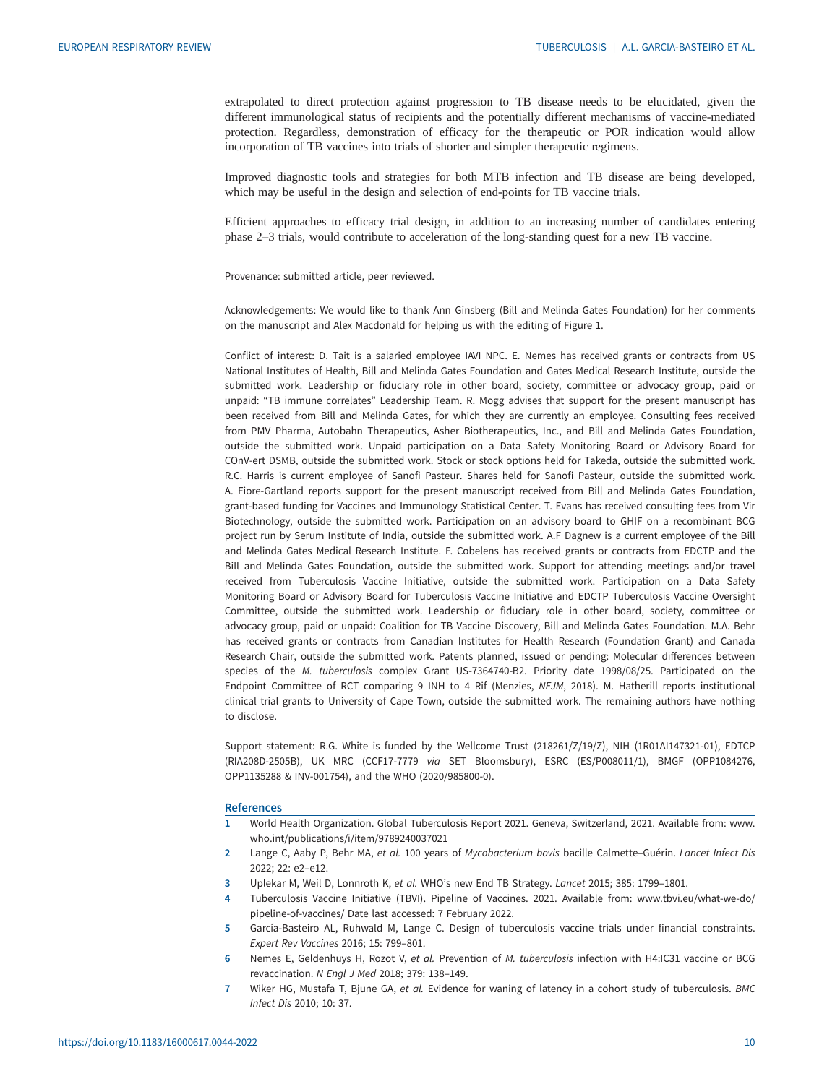<span id="page-9-0"></span>extrapolated to direct protection against progression to TB disease needs to be elucidated, given the different immunological status of recipients and the potentially different mechanisms of vaccine-mediated protection. Regardless, demonstration of efficacy for the therapeutic or POR indication would allow incorporation of TB vaccines into trials of shorter and simpler therapeutic regimens.

Improved diagnostic tools and strategies for both MTB infection and TB disease are being developed, which may be useful in the design and selection of end-points for TB vaccine trials.

Efficient approaches to efficacy trial design, in addition to an increasing number of candidates entering phase 2–3 trials, would contribute to acceleration of the long-standing quest for a new TB vaccine.

Provenance: submitted article, peer reviewed.

Acknowledgements: We would like to thank Ann Ginsberg (Bill and Melinda Gates Foundation) for her comments on the manuscript and Alex Macdonald for helping us with the editing of Figure 1.

Conflict of interest: D. Tait is a salaried employee IAVI NPC. E. Nemes has received grants or contracts from US National Institutes of Health, Bill and Melinda Gates Foundation and Gates Medical Research Institute, outside the submitted work. Leadership or fiduciary role in other board, society, committee or advocacy group, paid or unpaid: "TB immune correlates" Leadership Team. R. Mogg advises that support for the present manuscript has been received from Bill and Melinda Gates, for which they are currently an employee. Consulting fees received from PMV Pharma, Autobahn Therapeutics, Asher Biotherapeutics, Inc., and Bill and Melinda Gates Foundation, outside the submitted work. Unpaid participation on a Data Safety Monitoring Board or Advisory Board for COnV-ert DSMB, outside the submitted work. Stock or stock options held for Takeda, outside the submitted work. R.C. Harris is current employee of Sanofi Pasteur. Shares held for Sanofi Pasteur, outside the submitted work. A. Fiore-Gartland reports support for the present manuscript received from Bill and Melinda Gates Foundation, grant-based funding for Vaccines and Immunology Statistical Center. T. Evans has received consulting fees from Vir Biotechnology, outside the submitted work. Participation on an advisory board to GHIF on a recombinant BCG project run by Serum Institute of India, outside the submitted work. A.F Dagnew is a current employee of the Bill and Melinda Gates Medical Research Institute. F. Cobelens has received grants or contracts from EDCTP and the Bill and Melinda Gates Foundation, outside the submitted work. Support for attending meetings and/or travel received from Tuberculosis Vaccine Initiative, outside the submitted work. Participation on a Data Safety Monitoring Board or Advisory Board for Tuberculosis Vaccine Initiative and EDCTP Tuberculosis Vaccine Oversight Committee, outside the submitted work. Leadership or fiduciary role in other board, society, committee or advocacy group, paid or unpaid: Coalition for TB Vaccine Discovery, Bill and Melinda Gates Foundation. M.A. Behr has received grants or contracts from Canadian Institutes for Health Research (Foundation Grant) and Canada Research Chair, outside the submitted work. Patents planned, issued or pending: Molecular differences between species of the M. tuberculosis complex Grant US-7364740-B2. Priority date 1998/08/25. Participated on the Endpoint Committee of RCT comparing 9 INH to 4 Rif (Menzies, NEJM, 2018). M. Hatherill reports institutional clinical trial grants to University of Cape Town, outside the submitted work. The remaining authors have nothing to disclose.

Support statement: R.G. White is funded by the Wellcome Trust (218261/Z/19/Z), NIH (1R01AI147321-01), EDTCP (RIA208D-2505B), UK MRC (CCF17-7779 via SET Bloomsbury), ESRC (ES/P008011/1), BMGF (OPP1084276, OPP1135288 & INV-001754), and the WHO (2020/985800-0).

#### **References**

- 1 World Health Organization. Global Tuberculosis Report 2021. Geneva, Switzerland, 2021. Available from: [www.](http://www.who.int/publications/i/item/9789240037021) [who.int/publications/i/item/9789240037021](http://www.who.int/publications/i/item/9789240037021)
- 2 Lange C, Aaby P, Behr MA, et al. 100 years of Mycobacterium bovis bacille Calmette–Guérin. Lancet Infect Dis 2022; 22: e2–e12.
- 3 Uplekar M, Weil D, Lonnroth K, et al. WHO's new End TB Strategy. Lancet 2015; 385: 1799–1801.
- 4 Tuberculosis Vaccine Initiative (TBVI). Pipeline of Vaccines. 2021. Available from: [www.tbvi.eu/what-we-do/](http://www.tbvi.eu/what-we-do/pipeline-of-vaccines/) [pipeline-of-vaccines/](http://www.tbvi.eu/what-we-do/pipeline-of-vaccines/) Date last accessed: 7 February 2022.
- 5 García-Basteiro AL, Ruhwald M, Lange C. Design of tuberculosis vaccine trials under financial constraints. Expert Rev Vaccines 2016; 15: 799–801.
- 6 Nemes E, Geldenhuys H, Rozot V, et al. Prevention of M. tuberculosis infection with H4:IC31 vaccine or BCG revaccination. N Engl J Med 2018; 379: 138–149.
- 7 Wiker HG, Mustafa T, Bjune GA, et al. Evidence for waning of latency in a cohort study of tuberculosis. BMC Infect Dis 2010; 10: 37.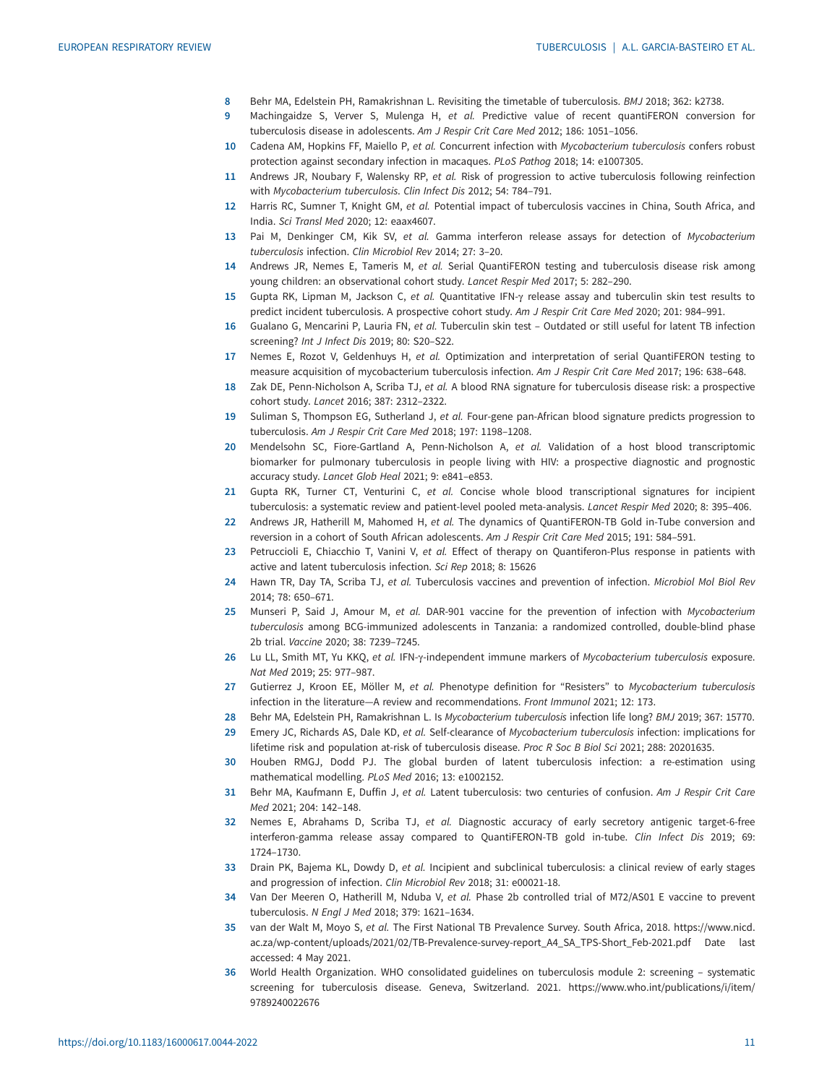- <span id="page-10-0"></span>8 Behr MA, Edelstein PH, Ramakrishnan L. Revisiting the timetable of tuberculosis. BMJ 2018; 362: k2738.
- 9 Machingaidze S, Verver S, Mulenga H, et al. Predictive value of recent quantiFERON conversion for tuberculosis disease in adolescents. Am J Respir Crit Care Med 2012; 186: 1051–1056.
- 10 Cadena AM, Hopkins FF, Maiello P, et al. Concurrent infection with Mycobacterium tuberculosis confers robust protection against secondary infection in macaques. PLoS Pathog 2018; 14: e1007305.
- 11 Andrews JR, Noubary F, Walensky RP, et al. Risk of progression to active tuberculosis following reinfection with Mycobacterium tuberculosis. Clin Infect Dis 2012; 54: 784–791.
- 12 Harris RC, Sumner T, Knight GM, et al. Potential impact of tuberculosis vaccines in China, South Africa, and India. Sci Transl Med 2020; 12: eaax4607.
- 13 Pai M, Denkinger CM, Kik SV, et al. Gamma interferon release assays for detection of Mycobacterium tuberculosis infection. Clin Microbiol Rev 2014; 27: 3–20.
- 14 Andrews JR, Nemes E, Tameris M, et al. Serial QuantiFERON testing and tuberculosis disease risk among young children: an observational cohort study. Lancet Respir Med 2017; 5: 282–290.
- 15 Gupta RK, Lipman M, Jackson C, et al. Quantitative IFN-γ release assay and tuberculin skin test results to predict incident tuberculosis. A prospective cohort study. Am J Respir Crit Care Med 2020; 201: 984–991.
- 16 Gualano G, Mencarini P, Lauria FN, et al. Tuberculin skin test Outdated or still useful for latent TB infection screening? Int J Infect Dis 2019; 80: S20–S22.
- 17 Nemes E, Rozot V, Geldenhuys H, et al. Optimization and interpretation of serial QuantiFERON testing to measure acquisition of mycobacterium tuberculosis infection. Am J Respir Crit Care Med 2017; 196: 638–648.
- 18 Zak DE, Penn-Nicholson A, Scriba TJ, et al. A blood RNA signature for tuberculosis disease risk: a prospective cohort study. Lancet 2016; 387: 2312–2322.
- 19 Suliman S, Thompson EG, Sutherland J, et al. Four-gene pan-African blood signature predicts progression to tuberculosis. Am J Respir Crit Care Med 2018; 197: 1198–1208.
- 20 Mendelsohn SC, Fiore-Gartland A, Penn-Nicholson A, et al. Validation of a host blood transcriptomic biomarker for pulmonary tuberculosis in people living with HIV: a prospective diagnostic and prognostic accuracy study. Lancet Glob Heal 2021; 9: e841–e853.
- 21 Gupta RK, Turner CT, Venturini C, et al. Concise whole blood transcriptional signatures for incipient tuberculosis: a systematic review and patient-level pooled meta-analysis. Lancet Respir Med 2020; 8: 395–406.
- 22 Andrews JR, Hatherill M, Mahomed H, et al. The dynamics of QuantiFERON-TB Gold in-Tube conversion and reversion in a cohort of South African adolescents. Am J Respir Crit Care Med 2015; 191: 584–591.
- 23 Petruccioli E, Chiacchio T, Vanini V, et al. Effect of therapy on Quantiferon-Plus response in patients with active and latent tuberculosis infection. Sci Rep 2018; 8: 15626
- 24 Hawn TR, Day TA, Scriba TJ, et al. Tuberculosis vaccines and prevention of infection. Microbiol Mol Biol Rev 2014; 78: 650–671.
- 25 Munseri P, Said J, Amour M, et al. DAR-901 vaccine for the prevention of infection with Mycobacterium tuberculosis among BCG-immunized adolescents in Tanzania: a randomized controlled, double-blind phase 2b trial. Vaccine 2020; 38: 7239–7245.
- 26 Lu LL, Smith MT, Yu KKQ, et al. IFN-γ-independent immune markers of Mycobacterium tuberculosis exposure. Nat Med 2019; 25: 977–987.
- 27 Gutierrez J, Kroon EE, Möller M, et al. Phenotype definition for "Resisters" to Mycobacterium tuberculosis infection in the literature—A review and recommendations. Front Immunol 2021; 12: 173.
- 28 Behr MA, Edelstein PH, Ramakrishnan L. Is Mycobacterium tuberculosis infection life long? BMJ 2019; 367: 15770. 29 Emery JC, Richards AS, Dale KD, et al. Self-clearance of Mycobacterium tuberculosis infection: implications for
- lifetime risk and population at-risk of tuberculosis disease. Proc R Soc B Biol Sci 2021; 288: 20201635.
- 30 Houben RMGJ, Dodd PJ. The global burden of latent tuberculosis infection: a re-estimation using mathematical modelling. PLoS Med 2016; 13: e1002152.
- 31 Behr MA, Kaufmann E, Duffin J, et al. Latent tuberculosis: two centuries of confusion. Am J Respir Crit Care Med 2021; 204: 142–148.
- 32 Nemes E, Abrahams D, Scriba TJ, et al. Diagnostic accuracy of early secretory antigenic target-6-free interferon-gamma release assay compared to QuantiFERON-TB gold in-tube. Clin Infect Dis 2019; 69: 1724–1730.
- 33 Drain PK, Bajema KL, Dowdy D, et al. Incipient and subclinical tuberculosis: a clinical review of early stages and progression of infection. Clin Microbiol Rev 2018; 31: e00021-18.
- 34 Van Der Meeren O, Hatherill M, Nduba V, et al. Phase 2b controlled trial of M72/AS01 E vaccine to prevent tuberculosis. N Engl J Med 2018; 379: 1621–1634.
- 35 van der Walt M, Moyo S, et al. The First National TB Prevalence Survey. South Africa, 2018. [https://www.nicd.](https://www.nicd.ac.za/wp-content/uploads/2021/02/TB-Prevalence-survey-report_A4_SA_TPS-Short_Feb-2021.pdf) [ac.za/wp-content/uploads/2021/02/TB-Prevalence-survey-report\\_A4\\_SA\\_TPS-Short\\_Feb-2021.pdf](https://www.nicd.ac.za/wp-content/uploads/2021/02/TB-Prevalence-survey-report_A4_SA_TPS-Short_Feb-2021.pdf) Date last accessed: 4 May 2021.
- 36 World Health Organization. WHO consolidated guidelines on tuberculosis module 2: screening systematic screening for tuberculosis disease. Geneva, Switzerland. 2021. [https://www.who.int/publications/i/item/](https://www.who.int/publications/i/item/9789240022676) [9789240022676](https://www.who.int/publications/i/item/9789240022676)